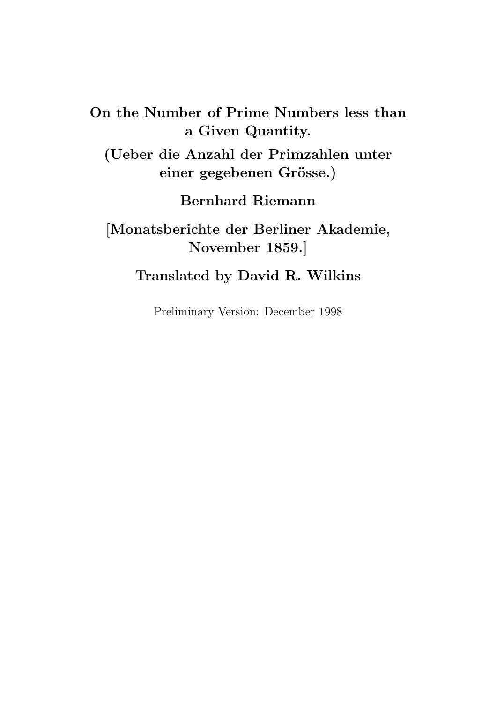On the Number of Prime Numbers less than a Given Quantity.

(Ueber die Anzahl der Primzahlen unter einer gegebenen Grösse.)

Bernhard Riemann

[Monatsberichte der Berliner Akademie, November 1859.]

Translated by David R. Wilkins

Preliminary Version: December 1998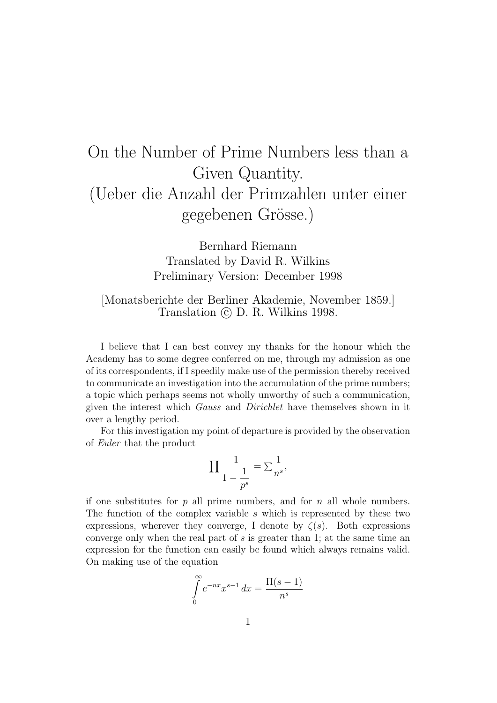## On the Number of Prime Numbers less than a Given Quantity. (Ueber die Anzahl der Primzahlen unter einer gegebenen Grösse.)

Bernhard Riemann Translated by David R. Wilkins Preliminary Version: December 1998

## [Monatsberichte der Berliner Akademie, November 1859.] Translation © D. R. Wilkins 1998.

I believe that I can best convey my thanks for the honour which the Academy has to some degree conferred on me, through my admission as one of its correspondents, if I speedily make use of the permission thereby received to communicate an investigation into the accumulation of the prime numbers; a topic which perhaps seems not wholly unworthy of such a communication, given the interest which Gauss and Dirichlet have themselves shown in it over a lengthy period.

For this investigation my point of departure is provided by the observation of Euler that the product

$$
\prod \frac{1}{1 - \frac{1}{p^s}} = \sum \frac{1}{n^s},
$$

if one substitutes for  $p$  all prime numbers, and for  $n$  all whole numbers. The function of the complex variable s which is represented by these two expressions, wherever they converge, I denote by  $\zeta(s)$ . Both expressions converge only when the real part of  $s$  is greater than 1; at the same time an expression for the function can easily be found which always remains valid. On making use of the equation

$$
\int_{0}^{\infty} e^{-nx} x^{s-1} dx = \frac{\Pi(s-1)}{n^s}
$$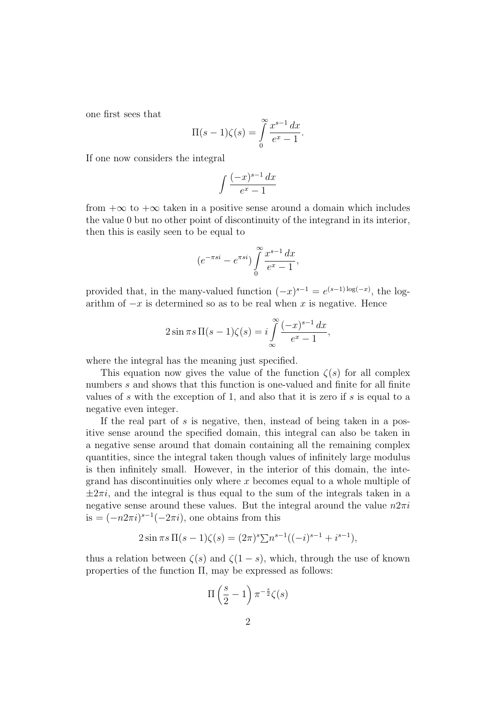one first sees that

$$
\Pi(s-1)\zeta(s) = \int\limits_0^\infty \frac{x^{s-1} dx}{e^x - 1}.
$$

If one now considers the integral

$$
\int \frac{(-x)^{s-1} dx}{e^x - 1}
$$

from  $+\infty$  to  $+\infty$  taken in a positive sense around a domain which includes the value 0 but no other point of discontinuity of the integrand in its interior, then this is easily seen to be equal to

$$
(e^{-\pi si} - e^{\pi si}) \int\limits_{0}^{\infty} \frac{x^{s-1} dx}{e^x - 1},
$$

provided that, in the many-valued function  $(-x)^{s-1} = e^{(s-1)\log(-x)}$ , the logarithm of  $-x$  is determined so as to be real when x is negative. Hence

$$
2\sin \pi s \, \Pi(s-1)\zeta(s) = i \int_{\infty}^{\infty} \frac{(-x)^{s-1} \, dx}{e^x - 1},
$$

where the integral has the meaning just specified.

This equation now gives the value of the function  $\zeta(s)$  for all complex numbers s and shows that this function is one-valued and finite for all finite values of s with the exception of 1, and also that it is zero if s is equal to a negative even integer.

If the real part of s is negative, then, instead of being taken in a positive sense around the specified domain, this integral can also be taken in a negative sense around that domain containing all the remaining complex quantities, since the integral taken though values of infinitely large modulus is then infinitely small. However, in the interior of this domain, the integrand has discontinuities only where  $x$  becomes equal to a whole multiple of  $\pm 2\pi i$ , and the integral is thus equal to the sum of the integrals taken in a negative sense around these values. But the integral around the value  $n2\pi i$  $\mathbf{a} = (-n2\pi i)^{s-1}(-2\pi i)$ , one obtains from this

$$
2\sin \pi s \, \Pi(s-1)\zeta(s) = (2\pi)^s \sum n^{s-1} ((-i)^{s-1} + i^{s-1}),
$$

thus a relation between  $\zeta(s)$  and  $\zeta(1-s)$ , which, through the use of known properties of the function  $\Pi$ , may be expressed as follows:

$$
\Pi\left(\frac{s}{2}-1\right)\pi^{-\frac{s}{2}}\zeta(s)
$$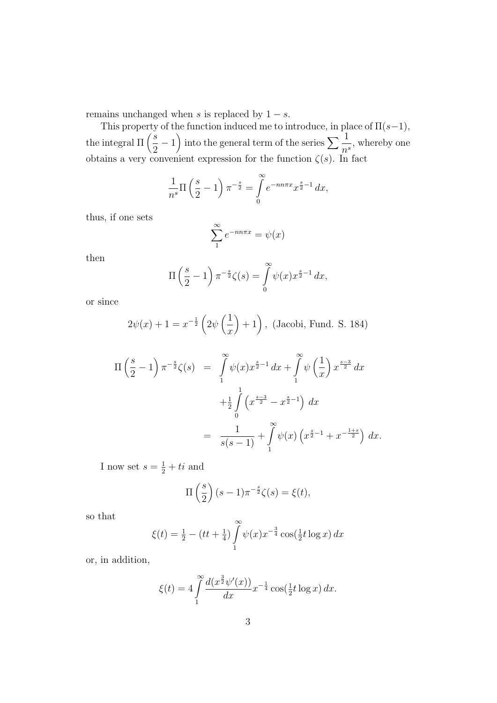remains unchanged when s is replaced by  $1 - s$ .

This property of the function induced me to introduce, in place of  $\Pi(s-1)$ , the integral  $\Pi\left(\frac{s}{2}\right)$ 2  $-1$ ) into the general term of the series  $\sum_{n=1}^{\infty} \frac{1}{n^2}$  $\frac{1}{n^s}$ , whereby one obtains a very convenient expression for the function  $\zeta(s)$ . In fact

$$
\frac{1}{n^{s}} \Pi \left(\frac{s}{2} - 1\right) \pi^{-\frac{s}{2}} = \int_{0}^{\infty} e^{-n n \pi x} x^{\frac{s}{2} - 1} dx,
$$

thus, if one sets

$$
\sum_{1}^{\infty} e^{-nn\pi x} = \psi(x)
$$

then

$$
\Pi\left(\frac{s}{2}-1\right)\pi^{-\frac{s}{2}}\zeta(s)=\int\limits_{0}^{\infty}\psi(x)x^{\frac{s}{2}-1}\,dx,
$$

or since

$$
2\psi(x) + 1 = x^{-\frac{1}{2}} \left( 2\psi\left(\frac{1}{x}\right) + 1 \right), \text{ (Jacobi, Fund. S. 184)}
$$

$$
\Pi\left(\frac{s}{2} - 1\right)\pi^{-\frac{s}{2}}\zeta(s) = \int_{1}^{\infty} \psi(x)x^{\frac{s}{2}-1} dx + \int_{1}^{\infty} \psi\left(\frac{1}{x}\right)x^{\frac{s-3}{2}} dx \n+ \frac{1}{2} \int_{0}^{1} \left(x^{\frac{s-3}{2}} - x^{\frac{s}{2}-1}\right) dx \n= \frac{1}{s(s-1)} + \int_{1}^{\infty} \psi(x)\left(x^{\frac{s}{2}-1} + x^{-\frac{1+s}{2}}\right) dx.
$$

I now set  $s = \frac{1}{2} + ti$  and

$$
\Pi\left(\frac{s}{2}\right)(s-1)\pi^{-\frac{s}{2}}\zeta(s)=\xi(t),
$$

so that

$$
\xi(t) = \frac{1}{2} - \left(tt + \frac{1}{4}\right) \int_{1}^{\infty} \psi(x) x^{-\frac{3}{4}} \cos\left(\frac{1}{2}t \log x\right) dx
$$

or, in addition,

$$
\xi(t) = 4 \int_{1}^{\infty} \frac{d(x^{\frac{3}{2}} \psi'(x))}{dx} x^{-\frac{1}{4}} \cos(\frac{1}{2}t \log x) dx.
$$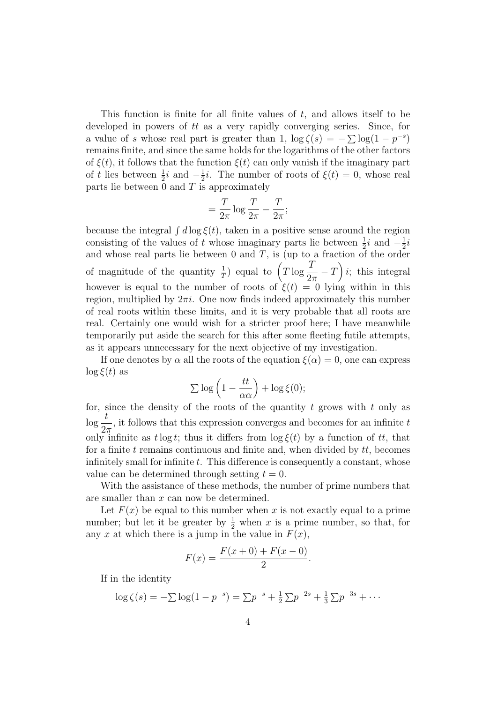This function is finite for all finite values of  $t$ , and allows itself to be developed in powers of tt as a very rapidly converging series. Since, for a value of s whose real part is greater than 1,  $\log \zeta(s) = -\sum \log(1 - p^{-s})$ remains finite, and since the same holds for the logarithms of the other factors of  $\xi(t)$ , it follows that the function  $\xi(t)$  can only vanish if the imaginary part of t lies between  $\frac{1}{2}i$  and  $-\frac{1}{2}$  $\frac{1}{2}i$ . The number of roots of  $\xi(t) = 0$ , whose real parts lie between  $0$  and  $T$  is approximately

$$
=\frac{T}{2\pi}\log\frac{T}{2\pi}-\frac{T}{2\pi};
$$

because the integral  $\int d\log \xi(t)$ , taken in a positive sense around the region consisting of the values of t whose imaginary parts lie between  $\frac{1}{2}i$  and  $-\frac{1}{2}i$ Example of the variety of the whose imaginary parts in between  $2^i$  and  $2^i$  and whose real parts lie between 0 and T, is (up to a fraction of the order of magnitude of the quantity  $\frac{1}{T}$  equal to  $\left(T\log\frac{T}{2\pi}\right)$  $2\pi$  $-T$ ) *i*; this integral however is equal to the number of roots of  $\xi(t) = 0$  lying within in this region, multiplied by  $2\pi i$ . One now finds indeed approximately this number of real roots within these limits, and it is very probable that all roots are real. Certainly one would wish for a stricter proof here; I have meanwhile temporarily put aside the search for this after some fleeting futile attempts, as it appears unnecessary for the next objective of my investigation.

If one denotes by  $\alpha$  all the roots of the equation  $\xi(\alpha) = 0$ , one can express  $\log \xi(t)$  as

$$
\sum \log \left( 1 - \frac{tt}{\alpha \alpha} \right) + \log \xi(0);
$$

for, since the density of the roots of the quantity  $t$  grows with  $t$  only as  $\log \frac{t}{2}$  $2\pi$ , it follows that this expression converges and becomes for an infinite  $t$ only infinite as  $t \log t$ ; thus it differs from  $\log \xi(t)$  by a function of  $tt$ , that for a finite  $t$  remains continuous and finite and, when divided by  $tt$ , becomes infinitely small for infinite  $t$ . This difference is consequently a constant, whose value can be determined through setting  $t = 0$ .

With the assistance of these methods, the number of prime numbers that are smaller than x can now be determined.

Let  $F(x)$  be equal to this number when x is not exactly equal to a prime number; but let it be greater by  $\frac{1}{2}$  when x is a prime number, so that, for any x at which there is a jump in the value in  $F(x)$ ,

$$
F(x) = \frac{F(x+0) + F(x-0)}{2}.
$$

If in the identity

$$
\log \zeta(s) = -\sum \log(1 - p^{-s}) = \sum p^{-s} + \frac{1}{2} \sum p^{-2s} + \frac{1}{3} \sum p^{-3s} + \cdots
$$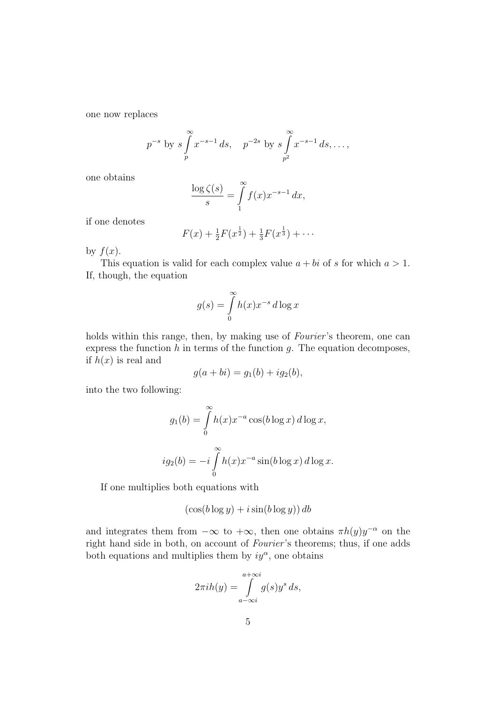one now replaces

$$
p^{-s}
$$
 by  $s \int_{p}^{\infty} x^{-s-1} ds$ ,  $p^{-2s}$  by  $s \int_{p^2}^{\infty} x^{-s-1} ds$ , ...,

one obtains

$$
\frac{\log \zeta(s)}{s} = \int_{1}^{\infty} f(x) x^{-s-1} dx,
$$

if one denotes

$$
F(x) + \frac{1}{2}F(x^{\frac{1}{2}}) + \frac{1}{3}F(x^{\frac{1}{3}}) + \cdots
$$

by  $f(x)$ .

This equation is valid for each complex value  $a + bi$  of s for which  $a > 1$ . If, though, the equation

$$
g(s) = \int_{0}^{\infty} h(x) x^{-s} d\log x
$$

holds within this range, then, by making use of *Fourier's* theorem, one can express the function  $h$  in terms of the function  $g$ . The equation decomposes, if  $h(x)$  is real and

$$
g(a+bi) = g_1(b) + ig_2(b),
$$

into the two following:

$$
g_1(b) = \int_0^\infty h(x)x^{-a} \cos(b \log x) d \log x,
$$
  

$$
ig_2(b) = -i \int_0^\infty h(x)x^{-a} \sin(b \log x) d \log x.
$$

If one multiplies both equations with

$$
(\cos(b \log y) + i \sin(b \log y)) db
$$

and integrates them from  $-\infty$  to  $+\infty$ , then one obtains  $\pi h(y)y^{-\alpha}$  on the right hand side in both, on account of *Fourier's* theorems; thus, if one adds both equations and multiplies them by  $iy^{\alpha}$ , one obtains

$$
2\pi i h(y) = \int_{a - \infty i}^{a + \infty i} g(s) y^s ds,
$$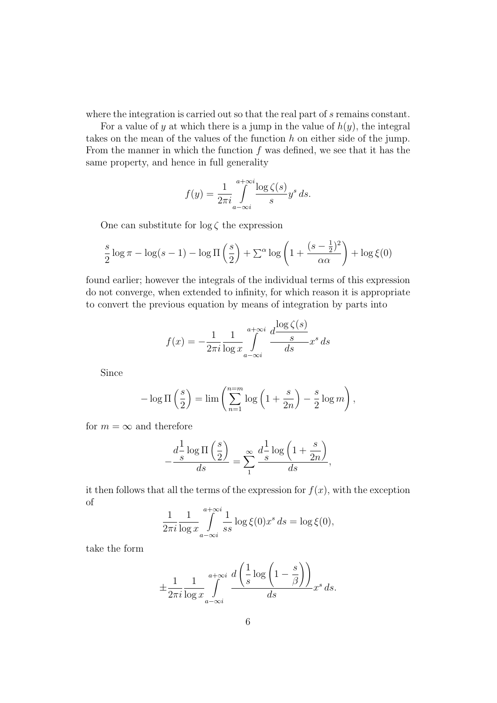where the integration is carried out so that the real part of s remains constant.

For a value of y at which there is a jump in the value of  $h(y)$ , the integral takes on the mean of the values of the function h on either side of the jump. From the manner in which the function  $f$  was defined, we see that it has the same property, and hence in full generality

$$
f(y) = \frac{1}{2\pi i} \int_{a - \infty i}^{a + \infty i} \frac{\log \zeta(s)}{s} y^s ds.
$$

One can substitute for  $\log \zeta$  the expression

$$
\frac{s}{2}\log \pi - \log(s-1) - \log \Pi\left(\frac{s}{2}\right) + \sum^{\alpha} \log \left(1 + \frac{(s-\frac{1}{2})^2}{\alpha \alpha}\right) + \log \xi(0)
$$

found earlier; however the integrals of the individual terms of this expression do not converge, when extended to infinity, for which reason it is appropriate to convert the previous equation by means of integration by parts into

$$
f(x) = -\frac{1}{2\pi i} \frac{1}{\log x} \int_{a-\infty i}^{a+\infty i} \frac{d\frac{\log \zeta(s)}{s}}{ds} x^s ds
$$

Since

$$
-\log \Pi \left(\frac{s}{2}\right) = \lim \left(\sum_{n=1}^{n=m} \log \left(1 + \frac{s}{2n}\right) - \frac{s}{2} \log m\right),\,
$$

for  $m = \infty$  and therefore

$$
-\frac{d\frac{1}{s}\log\Pi\left(\frac{s}{2}\right)}{ds} = \sum_{n=1}^{\infty} \frac{d\frac{1}{s}\log\left(1 + \frac{s}{2n}\right)}{ds},
$$

it then follows that all the terms of the expression for  $f(x)$ , with the exception of  $\frac{1}{2}$ 

$$
\frac{1}{2\pi i} \frac{1}{\log x} \int_{a-\infty i}^{a+\infty i} \frac{1}{ss} \log \xi(0) x^s ds = \log \xi(0),
$$

take the form

$$
\pm \frac{1}{2\pi i} \frac{1}{\log x} \int_{a-\infty i}^{a+\infty i} \frac{d\left(\frac{1}{s}\log\left(1-\frac{s}{\beta}\right)\right)}{ds} x^s ds.
$$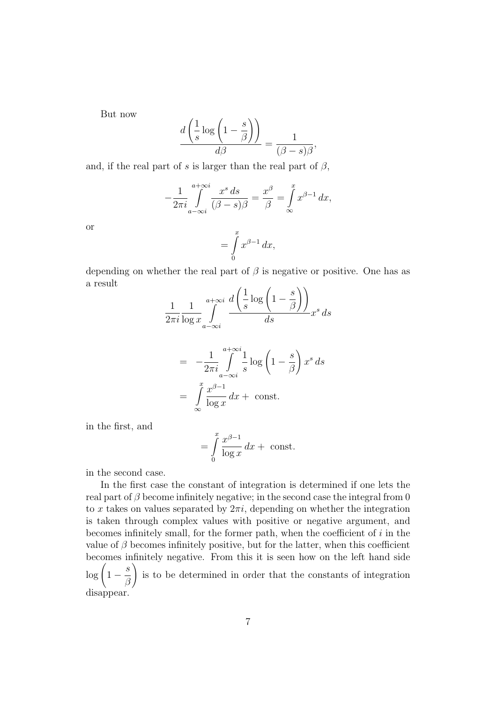But now

$$
\frac{d\left(\frac{1}{s}\log\left(1-\frac{s}{\beta}\right)\right)}{d\beta} = \frac{1}{(\beta-s)\beta},
$$

and, if the real part of s is larger than the real part of  $\beta$ ,

$$
-\frac{1}{2\pi i} \int_{a-\infty i}^{a+\infty i} \frac{x^s \, ds}{(\beta-s)\beta} = \frac{x^{\beta}}{\beta} = \int_{\infty}^{x} x^{\beta-1} \, dx,
$$

or

$$
=\int\limits_0^x x^{\beta-1}\,dx,
$$

depending on whether the real part of  $\beta$  is negative or positive. One has as a result .<br>\\ \

$$
\frac{1}{2\pi i} \frac{1}{\log x} \int_{a-\infty i}^{a+\infty i} \frac{d\left(\frac{1}{s}\log\left(1-\frac{s}{\beta}\right)\right)}{ds} x^s ds
$$

$$
= -\frac{1}{2\pi i} \int_{a-\infty i}^{a+\infty i} \frac{1}{s} \log\left(1-\frac{s}{\beta}\right) x^s ds
$$

$$
\int_{a}^{x} x^{\beta-1} dx + \log x
$$

$$
= \int_{\infty}^{\infty} \frac{x^{\beta - 1}}{\log x} dx + \text{ const.}
$$

in the first, and

$$
= \int\limits_0^x \frac{x^{\beta - 1}}{\log x} \, dx + \text{ const.}
$$

in the second case.

In the first case the constant of integration is determined if one lets the real part of  $\beta$  become infinitely negative; in the second case the integral from 0 to x takes on values separated by  $2\pi i$ , depending on whether the integration is taken through complex values with positive or negative argument, and becomes infinitely small, for the former path, when the coefficient of  $i$  in the value of  $\beta$  becomes infinitely positive, but for the latter, when this coefficient becomes infinitely negative. From this it is seen how on the left hand side  $\log\left(1-\frac{s}{c}\right)$ β  $\setminus$ is to be determined in order that the constants of integration disappear.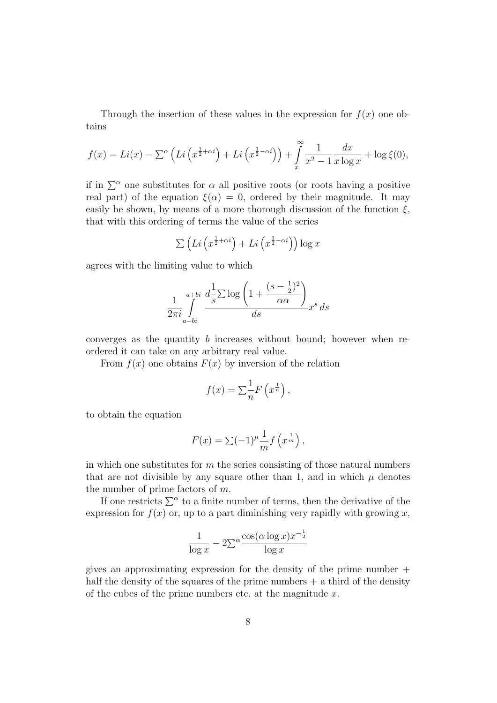Through the insertion of these values in the expression for  $f(x)$  one obtains

$$
f(x) = Li(x) - \sum^{\alpha} \left( Li\left(x^{\frac{1}{2} + \alpha i}\right) + Li\left(x^{\frac{1}{2} - \alpha i}\right) \right) + \int_{x}^{\infty} \frac{1}{x^2 - 1} \frac{dx}{x \log x} + \log \xi(0),
$$

if in  $\Sigma^{\alpha}$  one substitutes for  $\alpha$  all positive roots (or roots having a positive real part) of the equation  $\xi(\alpha) = 0$ , ordered by their magnitude. It may easily be shown, by means of a more thorough discussion of the function  $\xi$ , that with this ordering of terms the value of the series

$$
\sum \left( Li \left( x^{\frac{1}{2} + \alpha i} \right) + Li \left( x^{\frac{1}{2} - \alpha i} \right) \right) \log x
$$

agrees with the limiting value to which

$$
\frac{1}{2\pi i}\int\limits_{a-bi}^{a+bi} \frac{d\frac{1}{s}\sum \log \left(1+\frac{(s-\frac{1}{2})^2}{\alpha \alpha}\right)}{ds}x^s \, ds
$$

converges as the quantity b increases without bound; however when reordered it can take on any arbitrary real value.

From  $f(x)$  one obtains  $F(x)$  by inversion of the relation

$$
f(x) = \sum_{n=1}^{\infty} F\left(x^{\frac{1}{n}}\right),
$$

to obtain the equation

$$
F(x) = \sum (-1)^{\mu} \frac{1}{m} f\left(x^{\frac{1}{m}}\right),
$$

in which one substitutes for  $m$  the series consisting of those natural numbers that are not divisible by any square other than 1, and in which  $\mu$  denotes the number of prime factors of  $m$ .

If one restricts  $\sum^{\alpha}$  to a finite number of terms, then the derivative of the expression for  $f(x)$  or, up to a part diminishing very rapidly with growing x,

$$
\frac{1}{\log x} - 2\Sigma^{\alpha} \frac{\cos(\alpha \log x) x^{-\frac{1}{2}}}{\log x}
$$

gives an approximating expression for the density of the prime number + half the density of the squares of the prime numbers  $+$  a third of the density of the cubes of the prime numbers etc. at the magnitude  $x$ .